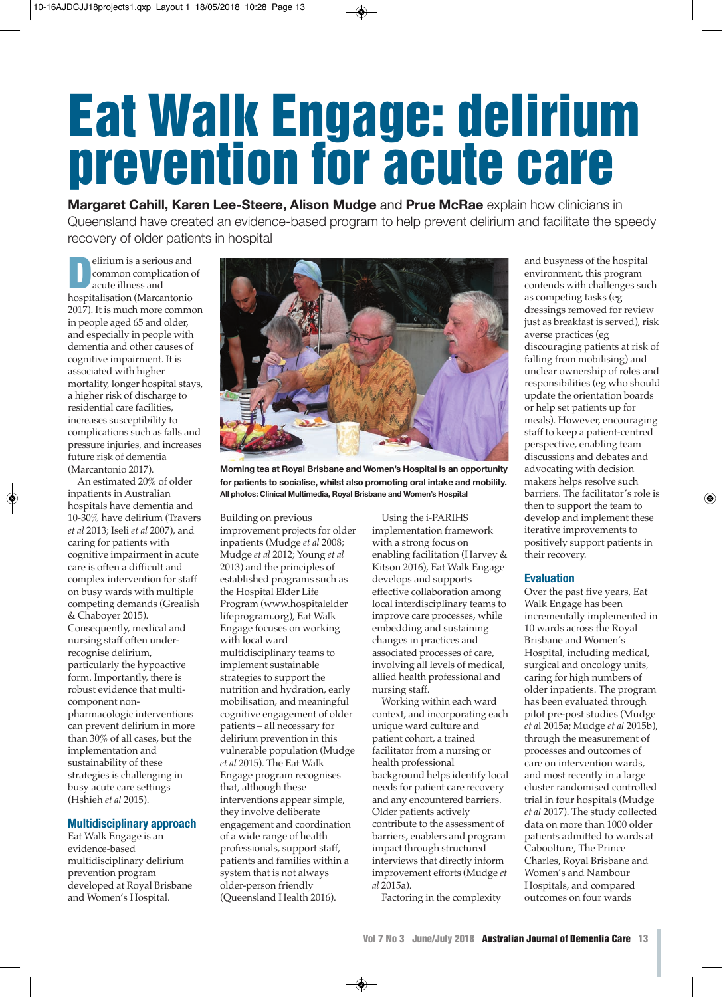# **Eat Walk Engage: delirium prevention for acute care**

**Margaret Cahill, Karen Lee-Steere, Alison Mudge** and **Prue McRae** explain how clinicians in Queensland have created an evidence-based program to help prevent delirium and facilitate the speedy recovery of older patients in hospital

**D**elirium is a serious and<br>
common complication<br>
acute illness and<br> **hospitalization** (Marcantonio common complication of acute illness and hospitalisation (Marcantonio 2017). It is much more common in people aged 65 and older, and especially in people with dementia and other causes of cognitive impairment. It is associated with higher mortality, longer hospital stays, a higher risk of discharge to residential care facilities, increases susceptibility to complications such as falls and pressure injuries, and increases future risk of dementia (Marcantonio 2017).

An estimated 20% of older inpatients in Australian hospitals have dementia and 10-30% have delirium (Travers *et al* 2013; Iseli *et al* 2007), and caring for patients with cognitive impairment in acute care is often a difficult and complex intervention for staff on busy wards with multiple competing demands (Grealish & Chaboyer 2015). Consequently, medical and nursing staff often underrecognise delirium, particularly the hypoactive form. Importantly, there is robust evidence that multicomponent nonpharmacologic interventions can prevent delirium in more than 30% of all cases, but the implementation and sustainability of these strategies is challenging in busy acute care settings (Hshieh *et al* 2015).

# **Multidisciplinary approach**

Eat Walk Engage is an evidence-based multidisciplinary delirium prevention program developed at Royal Brisbane and Women's Hospital.



**Morning tea at Royal Brisbane and Women's Hospital is an opportunity for patients to socialise, whilst also promoting oral intake and mobility. All photos: Clinical Multimedia, Royal Brisbane and Women's Hospital**

Building on previous improvement projects for older inpatients (Mudge *et al* 2008; Mudge *et al* 2012; Young *et al* 2013) and the principles of established programs such as the Hospital Elder Life Program (www.hospitalelder lifeprogram.org), Eat Walk Engage focuses on working with local ward multidisciplinary teams to implement sustainable strategies to support the nutrition and hydration, early mobilisation, and meaningful cognitive engagement of older patients – all necessary for delirium prevention in this vulnerable population (Mudge *et al* 2015). The Eat Walk Engage program recognises that, although these interventions appear simple, they involve deliberate engagement and coordination of a wide range of health professionals, support staff, patients and families within a system that is not always older-person friendly (Queensland Health 2016).

Using the i-PARIHS implementation framework with a strong focus on enabling facilitation (Harvey & Kitson 2016), Eat Walk Engage develops and supports effective collaboration among local interdisciplinary teams to improve care processes, while embedding and sustaining changes in practices and associated processes of care, involving all levels of medical, allied health professional and nursing staff.

Working within each ward context, and incorporating each unique ward culture and patient cohort, a trained facilitator from a nursing or health professional background helps identify local needs for patient care recovery and any encountered barriers. Older patients actively contribute to the assessment of barriers, enablers and program impact through structured interviews that directly inform improvement efforts (Mudge *et al* 2015a).

Factoring in the complexity

and busyness of the hospital environment, this program contends with challenges such as competing tasks (eg dressings removed for review just as breakfast is served), risk averse practices (eg discouraging patients at risk of falling from mobilising) and unclear ownership of roles and responsibilities (eg who should update the orientation boards or help set patients up for meals). However, encouraging staff to keep a patient-centred perspective, enabling team discussions and debates and advocating with decision makers helps resolve such barriers. The facilitator's role is then to support the team to develop and implement these iterative improvements to positively support patients in their recovery.

# **Evaluation**

Over the past five years, Eat Walk Engage has been incrementally implemented in 10 wards across the Royal Brisbane and Women's Hospital, including medical, surgical and oncology units, caring for high numbers of older inpatients. The program has been evaluated through pilot pre-post studies (Mudge *et a*l 2015a; Mudge *et al* 2015b), through the measurement of processes and outcomes of care on intervention wards, and most recently in a large cluster randomised controlled trial in four hospitals (Mudge *et al* 2017). The study collected data on more than 1000 older patients admitted to wards at Caboolture, The Prince Charles, Royal Brisbane and Women's and Nambour Hospitals, and compared outcomes on four wards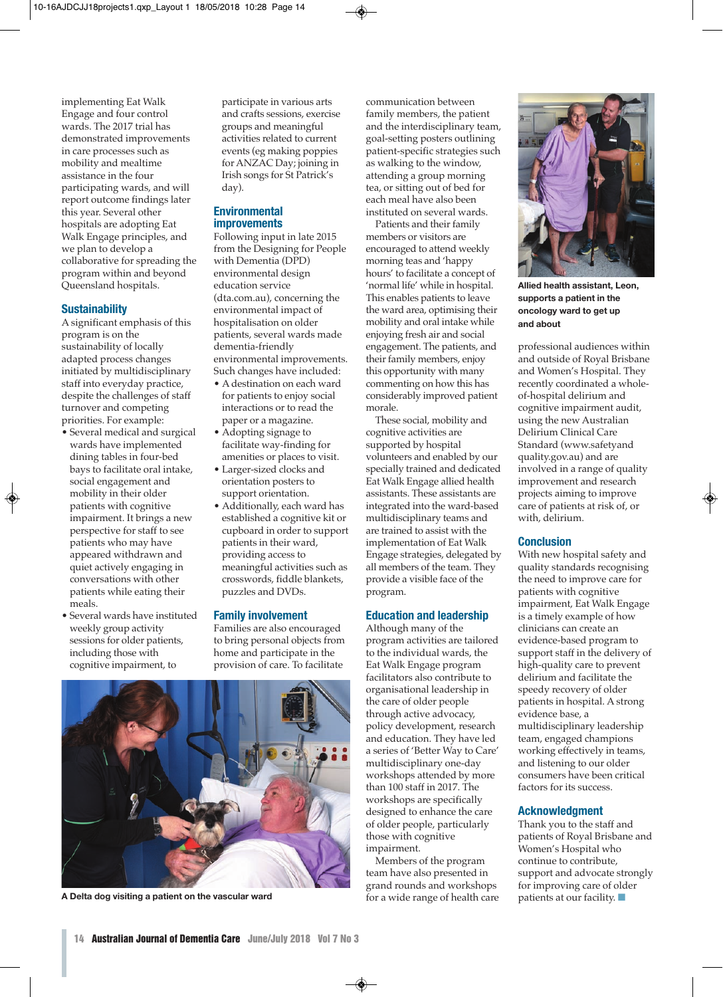implementing Eat Walk Engage and four control wards. The 2017 trial has demonstrated improvements in care processes such as mobility and mealtime assistance in the four participating wards, and will report outcome findings later this year. Several other hospitals are adopting Eat Walk Engage principles, and we plan to develop a collaborative for spreading the program within and beyond Queensland hospitals.

# **Sustainability**

A significant emphasis of this program is on the sustainability of locally adapted process changes initiated by multidisciplinary staff into everyday practice, despite the challenges of staff turnover and competing priorities. For example:

- Several medical and surgical wards have implemented dining tables in four-bed bays to facilitate oral intake, social engagement and mobility in their older patients with cognitive impairment. It brings a new perspective for staff to see patients who may have appeared withdrawn and quiet actively engaging in conversations with other patients while eating their meals.
- Several wards have instituted weekly group activity sessions for older patients, including those with cognitive impairment, to

participate in various arts and crafts sessions, exercise groups and meaningful activities related to current events (eg making poppies for ANZAC Day; joining in Irish songs for St Patrick's day).

# **Environmental improvements**

Following input in late 2015 from the Designing for People with Dementia (DPD) environmental design education service (dta.com.au), concerning the environmental impact of hospitalisation on older patients, several wards made dementia-friendly environmental improvements. Such changes have included:

- A destination on each ward for patients to enjoy social interactions or to read the paper or a magazine.
- Adopting signage to facilitate way-finding for amenities or places to visit.
- Larger-sized clocks and orientation posters to support orientation.
- Additionally, each ward has established a cognitive kit or cupboard in order to support patients in their ward, providing access to meaningful activities such as crosswords, fiddle blankets, puzzles and DVDs.

# **Family involvement**

Families are also encouraged to bring personal objects from home and participate in the provision of care. To facilitate



**A Delta dog visiting a patient on the vascular ward** 

communication between family members, the patient and the interdisciplinary team, goal-setting posters outlining patient-specific strategies such as walking to the window, attending a group morning tea, or sitting out of bed for each meal have also been instituted on several wards.

Patients and their family members or visitors are encouraged to attend weekly morning teas and 'happy hours' to facilitate a concept of 'normal life' while in hospital. This enables patients to leave the ward area, optimising their mobility and oral intake while enjoying fresh air and social engagement. The patients, and their family members, enjoy this opportunity with many commenting on how this has considerably improved patient morale.

These social, mobility and cognitive activities are supported by hospital volunteers and enabled by our specially trained and dedicated Eat Walk Engage allied health assistants. These assistants are integrated into the ward-based multidisciplinary teams and are trained to assist with the implementation of Eat Walk Engage strategies, delegated by all members of the team. They provide a visible face of the program.

# **Education and leadership**

Although many of the program activities are tailored to the individual wards, the Eat Walk Engage program facilitators also contribute to organisational leadership in the care of older people through active advocacy, policy development, research and education. They have led a series of 'Better Way to Care' multidisciplinary one-day workshops attended by more than 100 staff in 2017. The workshops are specifically designed to enhance the care of older people, particularly those with cognitive impairment.

Members of the program team have also presented in grand rounds and workshops for a wide range of health care



**Allied health assistant, Leon, supports a patient in the oncology ward to get up and about**

professional audiences within and outside of Royal Brisbane and Women's Hospital. They recently coordinated a wholeof-hospital delirium and cognitive impairment audit, using the new Australian Delirium Clinical Care Standard (www.safetyand quality.gov.au) and are involved in a range of quality improvement and research projects aiming to improve care of patients at risk of, or with, delirium.

### **Conclusion**

With new hospital safety and quality standards recognising the need to improve care for patients with cognitive impairment, Eat Walk Engage is a timely example of how clinicians can create an evidence-based program to support staff in the delivery of high-quality care to prevent delirium and facilitate the speedy recovery of older patients in hospital. A strong evidence base, a multidisciplinary leadership team, engaged champions working effectively in teams, and listening to our older consumers have been critical factors for its success.

# **Acknowledgment**

Thank you to the staff and patients of Royal Brisbane and Women's Hospital who continue to contribute, support and advocate strongly for improving care of older patients at our facility. **■**